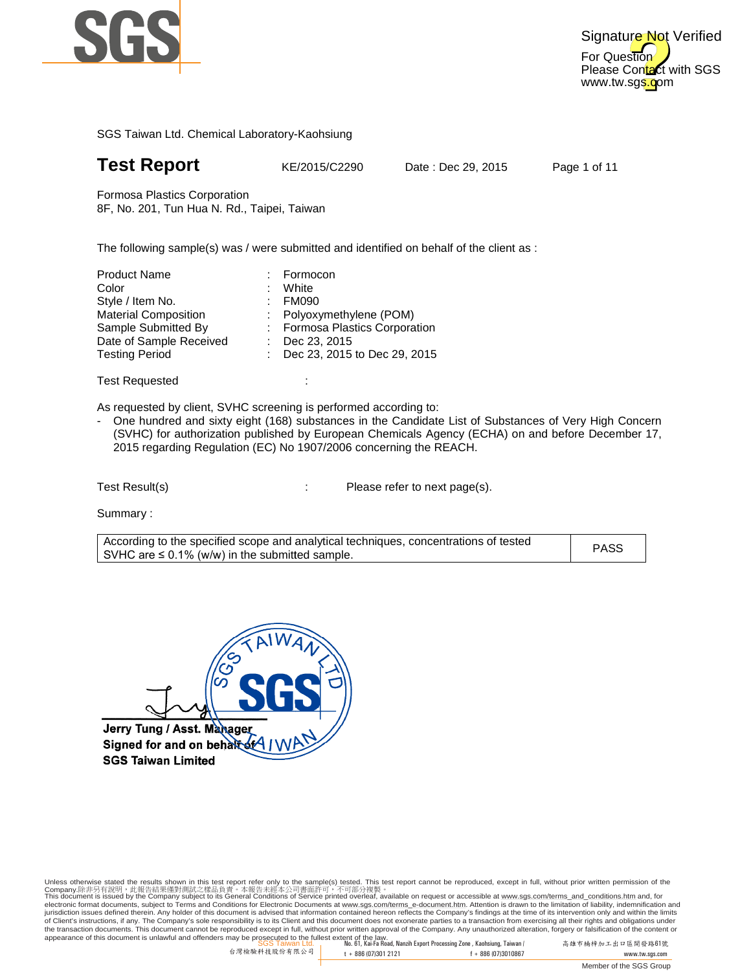

## **Test Report** KE/2015/C2290

Date : Dec 29, 2015

Page 1 of 11

Formosa Plastics Corporation 8F, No. 201, Tun Hua N. Rd., Taipei, Taiwan

8F, No. 201, Tun Hua N. Rd., Taipei, Taiwan<br>The following sample(s) was / were submitted and identified on behalf of the client as :

:

| : Formocon                     |
|--------------------------------|
| White                          |
| : FM090                        |
| : Polyoxymethylene (POM)       |
| : Formosa Plastics Corporation |
| : Dec 23, 2015                 |
| : Dec 23, 2015 to Dec 29, 2015 |
|                                |

Test Requested

As requested by client, SVHC screening is performed according to:

- One hundred and sixty eight (168) substances in the Candidate List of Substances of Very High Concern (SVHC) for authorization published by European Chemicals Agency (ECHA) on and before December 17, 2015 regarding Regulation (EC) No 1907/2006 concerning the REACH.<br>st Result(s) Please refer to next page(s).

Test Result(s)

Summary :

| According to the specified scope and analytical techniques, concentrations of tested<br>SVHC are $\leq$ 0.1% (w/w) in the submitted sample. | <b>PASS</b> |
|---------------------------------------------------------------------------------------------------------------------------------------------|-------------|
|                                                                                                                                             |             |

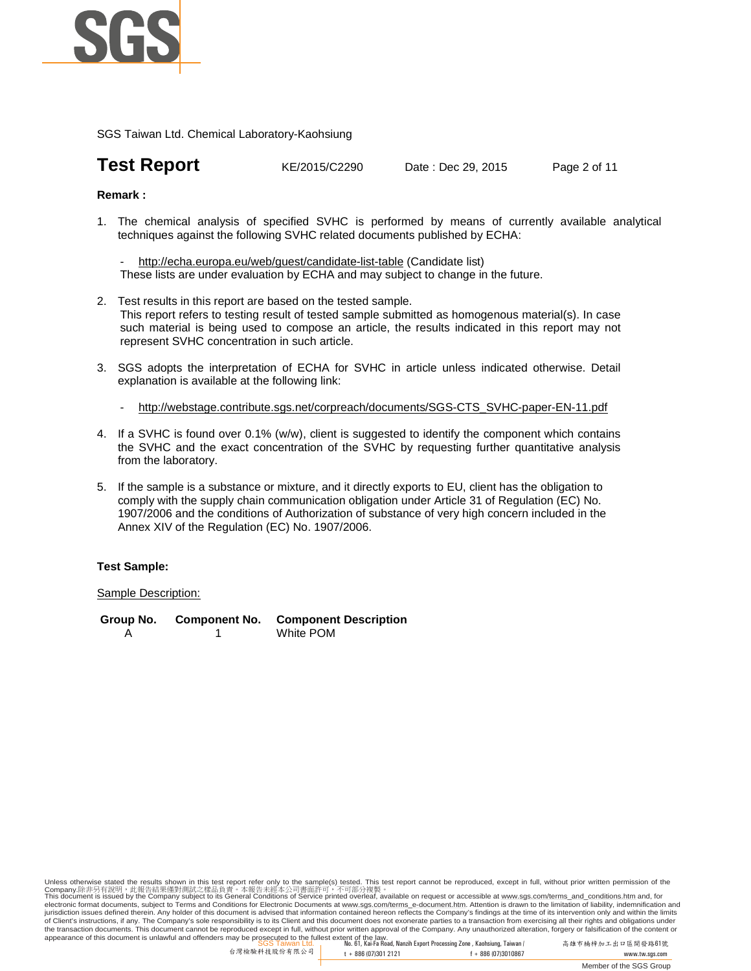

## **Test Report** KE/2015/C2290 Date : Dec 29, 2015 Page 2 of 11

#### **Remark :**

1. The chemical analysis of specified SVHC is performed by means of currently available analytical techniques against the following SVHC related documents published by ECHA:

http://echa.europa.eu/web/guest/candidate-list-table (Candidate list) These lists are under evaluation by ECHA and may subject to change in the future.

- 2. Test results in this report are based on the tested sample. This report refers to testing result of tested sample submitted as homogenous material(s). In case such material is being used to compose an article, the results indicated in this report may not represent SVHC concentration in such article.
- 3. SGS adopts the interpretation of ECHA for SVHC in article unless indicated otherwise. Detail explanation is available at the following link:
	- http://webstage.contribute.sgs.net/corpreach/documents/SGS-CTS\_SVHC-paper-EN-11.pdf
- 4. If a SVHC is found over 0.1% (w/w), client is suggested to identify the component which contains the SVHC and the exact concentration of the SVHC by requesting further quantitative analysis from the laboratory.
- 5. If the sample is a substance or mixture, and it directly exports to EU, client has the obligation to comply with the supply chain communication obligation under Article 31 of Regulation (EC) No. 1907/2006 and the conditions of Authorization of substance of very high concern included in the Annex XIV of the Regulation (EC) No. 1907/2006.

#### **Test Sample:**

#### Sample Description:

**Group No. Component No. Component Description** A 1 White POM

appearance of this document is unlawful and offenders may be prosecuted to the fullest extent of the law.<br>SGS Taiwan Ltd. , No. 61, Kai-Fa Road, Nanzih Export Processing Zone , Kaohsiung, Taiwan / 高雄市 Unless otherwise stated the results shown in this test report refer only to the sample(s) tested. This test report cannot be reproduced, except in full, without prior written permission of the<br>Company.陈非另有說明,此報告結果懂對測試之樣品貢 jurisdiction issues defined therein. Any holder of this document is advised that information contained hereon reflects the Company's findings at the time of its intervention only and within the limits of Client's instructions, if any. The Company's sole responsibility is to its Client and this document does not exonerate parties to a transaction from exercising all their rights and obligations under<br>the transaction docu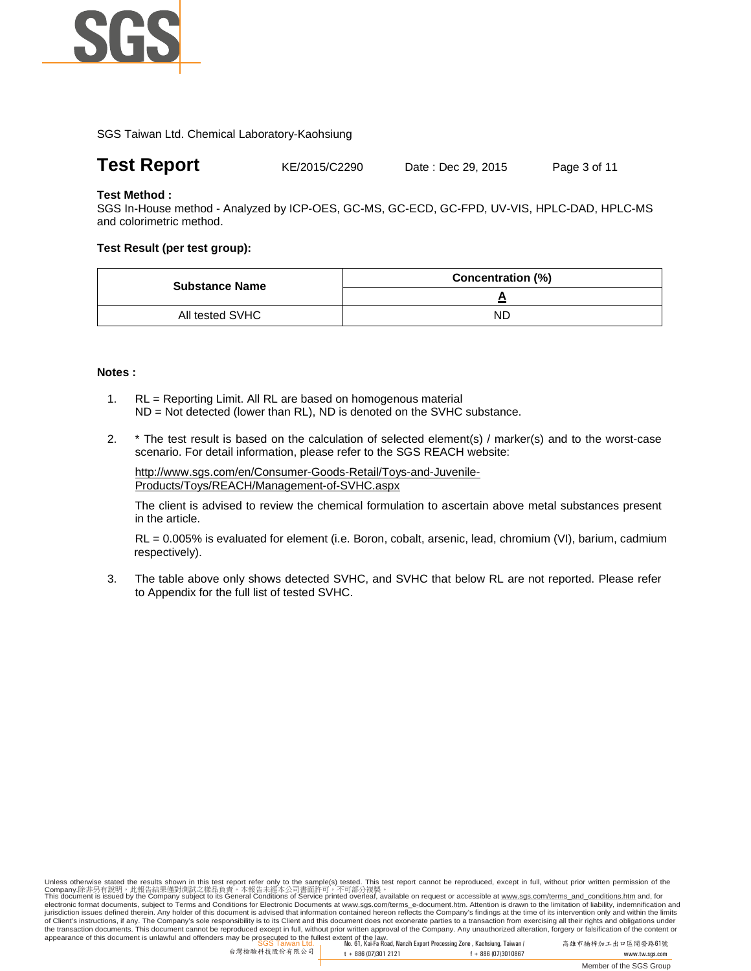

**Test Report** KE/2015/C2290 Date : Dec 29, 2015 Page 3 of 11

### **Test Method :**

SGS In-House method - Analyzed by ICP-OES, GC-MS, GC-ECD, GC-FPD, UV-VIS, HPLC-DAD, HPLC-MS and colorimetric method.

### **Test Result (per test group):**

| <b>Substance Name</b><br>All tested SVHC | <b>Concentration (%)</b> |
|------------------------------------------|--------------------------|
|                                          |                          |
|                                          | ND                       |

#### **Notes :**

- 1. RL = Reporting Limit. All RL are based on homogenous material ND = Not detected (lower than RL), ND is denoted on the SVHC substance.
- 2. \* The test result is based on the calculation of selected element(s) / marker(s) and to the worst-case scenario. For detail information, please refer to the SGS REACH website:

http://www.sgs.com/en/Consumer-Goods-Retail/Toys-and-Juvenile-Products/Toys/REACH/Management-of-SVHC.aspx

The client is advised to review the chemical formulation to ascertain above metal substances present in the article.

RL = 0.005% is evaluated for element (i.e. Boron, cobalt, arsenic, lead, chromium (VI), barium, cadmium respectively).

3. The table above only shows detected SVHC, and SVHC that below RL are not reported. Please refer to Appendix for the full list of tested SVHC.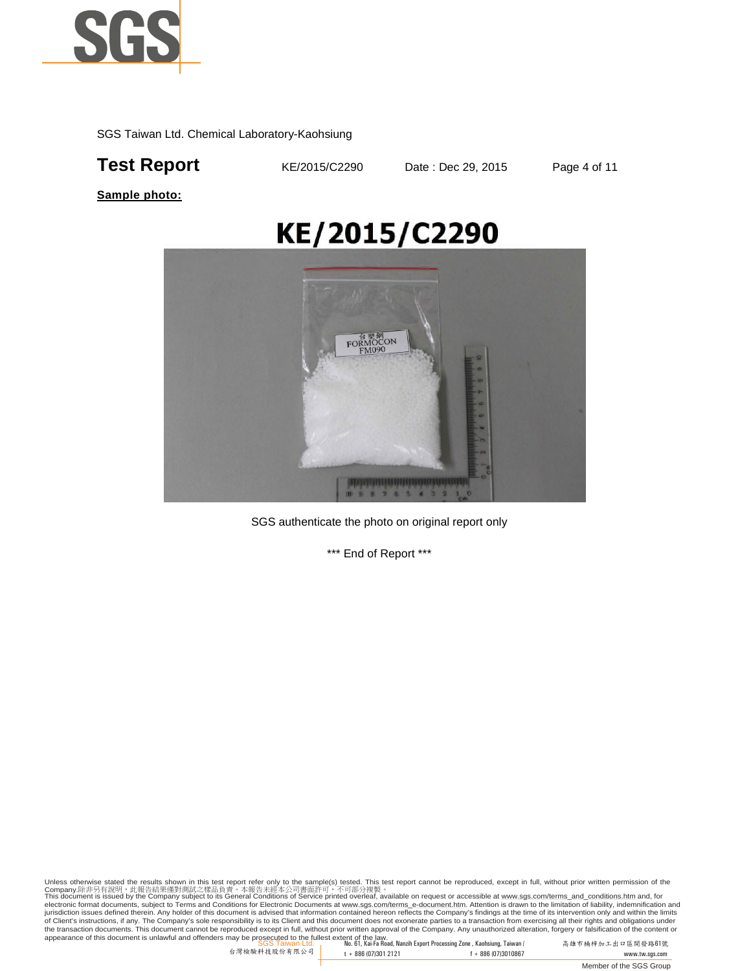

## **Test Report KE/2015/C2290** Date : Dec 29, 2015 Page 4 of 11

**Sample photo:**

# KE/2015/C2290



SGS authenticate the photo on original report only

\*\*\* End of Report \*\*\*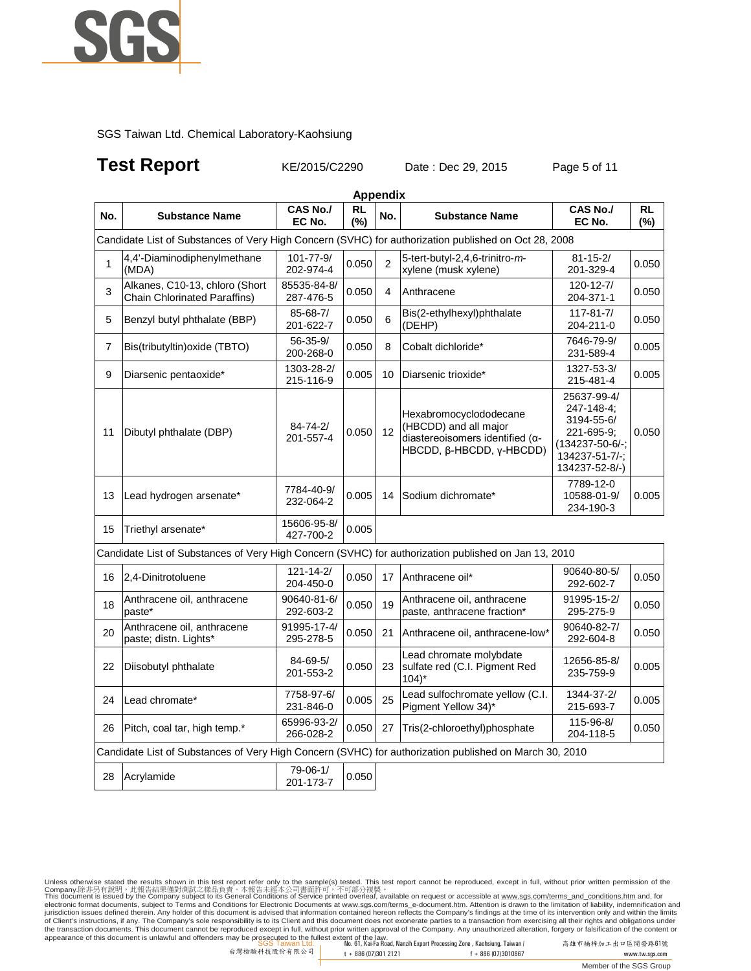

## **Test Report KE/2015/C2290** Date : Dec 29, 2015 Page 5 of 11

|                | <b>Appendix</b>                                                                                        |                             |                  |                |                                                                                                                         |                                                                                                                    |           |  |  |
|----------------|--------------------------------------------------------------------------------------------------------|-----------------------------|------------------|----------------|-------------------------------------------------------------------------------------------------------------------------|--------------------------------------------------------------------------------------------------------------------|-----------|--|--|
| No.            | <b>Substance Name</b>                                                                                  | <b>CAS No./</b><br>EC No.   | <b>RL</b><br>(%) | No.            | <b>Substance Name</b>                                                                                                   | <b>CAS No./</b><br>EC No.                                                                                          | RL<br>(%) |  |  |
|                | Candidate List of Substances of Very High Concern (SVHC) for authorization published on Oct 28, 2008   |                             |                  |                |                                                                                                                         |                                                                                                                    |           |  |  |
| 1              | 4,4'-Diaminodiphenylmethane<br>(MDA)                                                                   | 101-77-9/<br>202-974-4      | 0.050            | $\overline{2}$ | 5-tert-butyl-2,4,6-trinitro-m-<br>xylene (musk xylene)                                                                  | $81 - 15 - 2/$<br>201-329-4                                                                                        | 0.050     |  |  |
| 3              | Alkanes, C10-13, chloro (Short<br><b>Chain Chlorinated Paraffins)</b>                                  | 85535-84-8/<br>287-476-5    | 0.050            | 4              | Anthracene                                                                                                              | $120 - 12 - 7/$<br>204-371-1                                                                                       | 0.050     |  |  |
| 5              | Benzyl butyl phthalate (BBP)                                                                           | 85-68-7/<br>201-622-7       | 0.050            | 6              | Bis(2-ethylhexyl)phthalate<br>(DEHP)                                                                                    | $117 - 81 - 7/$<br>204-211-0                                                                                       | 0.050     |  |  |
| $\overline{7}$ | Bis(tributyltin) oxide (TBTO)                                                                          | $56 - 35 - 9/$<br>200-268-0 | 0.050            | 8              | Cobalt dichloride*                                                                                                      | 7646-79-9/<br>231-589-4                                                                                            | 0.005     |  |  |
| 9              | Diarsenic pentaoxide*                                                                                  | 1303-28-2/<br>215-116-9     | 0.005            | 10             | Diarsenic trioxide*                                                                                                     | 1327-53-3/<br>215-481-4                                                                                            | 0.005     |  |  |
| 11             | Dibutyl phthalate (DBP)                                                                                | 84-74-2/<br>201-557-4       | 0.050            | 12             | Hexabromocyclododecane<br>(HBCDD) and all major<br>diastereoisomers identified ( $\alpha$ -<br>HBCDD, β-HBCDD, γ-HBCDD) | 25637-99-4/<br>247-148-4;<br>3194-55-6/<br>221-695-9:<br>$(134237 - 50 - 6) -$<br>134237-51-7/-;<br>134237-52-8/-) | 0.050     |  |  |
| 13             | Lead hydrogen arsenate*                                                                                | 7784-40-9/<br>232-064-2     | 0.005            | 14             | Sodium dichromate*                                                                                                      | 7789-12-0<br>10588-01-9/<br>234-190-3                                                                              | 0.005     |  |  |
| 15             | Triethyl arsenate*                                                                                     | 15606-95-8/<br>427-700-2    | 0.005            |                |                                                                                                                         |                                                                                                                    |           |  |  |
|                | Candidate List of Substances of Very High Concern (SVHC) for authorization published on Jan 13, 2010   |                             |                  |                |                                                                                                                         |                                                                                                                    |           |  |  |
| 16             | 2,4-Dinitrotoluene                                                                                     | 121-14-2/<br>204-450-0      | 0.050            | 17             | Anthracene oil*                                                                                                         | 90640-80-5/<br>292-602-7                                                                                           | 0.050     |  |  |
| 18             | Anthracene oil, anthracene<br>paste*                                                                   | 90640-81-6/<br>292-603-2    | 0.050            | 19             | Anthracene oil, anthracene<br>paste, anthracene fraction*                                                               | 91995-15-2/<br>295-275-9                                                                                           | 0.050     |  |  |
| 20             | Anthracene oil, anthracene<br>paste; distn. Lights*                                                    | 91995-17-4/<br>295-278-5    | 0.050            | 21             | Anthracene oil, anthracene-low*                                                                                         | 90640-82-7/<br>292-604-8                                                                                           | 0.050     |  |  |
| 22             | Diisobutyl phthalate                                                                                   | 84-69-5/<br>201-553-2       | 0.050            | 23             | Lead chromate molybdate<br>sulfate red (C.I. Pigment Red<br>$104$ <sup>*</sup>                                          | 12656-85-8/<br>235-759-9                                                                                           | 0.005     |  |  |
| 24             | Lead chromate*                                                                                         | 7758-97-6/<br>231-846-0     | 0.005            | 25             | Lead sulfochromate yellow (C.I.<br>Pigment Yellow 34)*                                                                  | 1344-37-2/<br>215-693-7                                                                                            | 0.005     |  |  |
| 26             | Pitch, coal tar, high temp.*                                                                           | 65996-93-2/<br>266-028-2    | 0.050            | 27             | Tris(2-chloroethyl)phosphate                                                                                            | 115-96-8/<br>204-118-5                                                                                             | 0.050     |  |  |
|                | Candidate List of Substances of Very High Concern (SVHC) for authorization published on March 30, 2010 |                             |                  |                |                                                                                                                         |                                                                                                                    |           |  |  |
| 28             | Acrylamide                                                                                             | 79-06-1/<br>201-173-7       | 0.050            |                |                                                                                                                         |                                                                                                                    |           |  |  |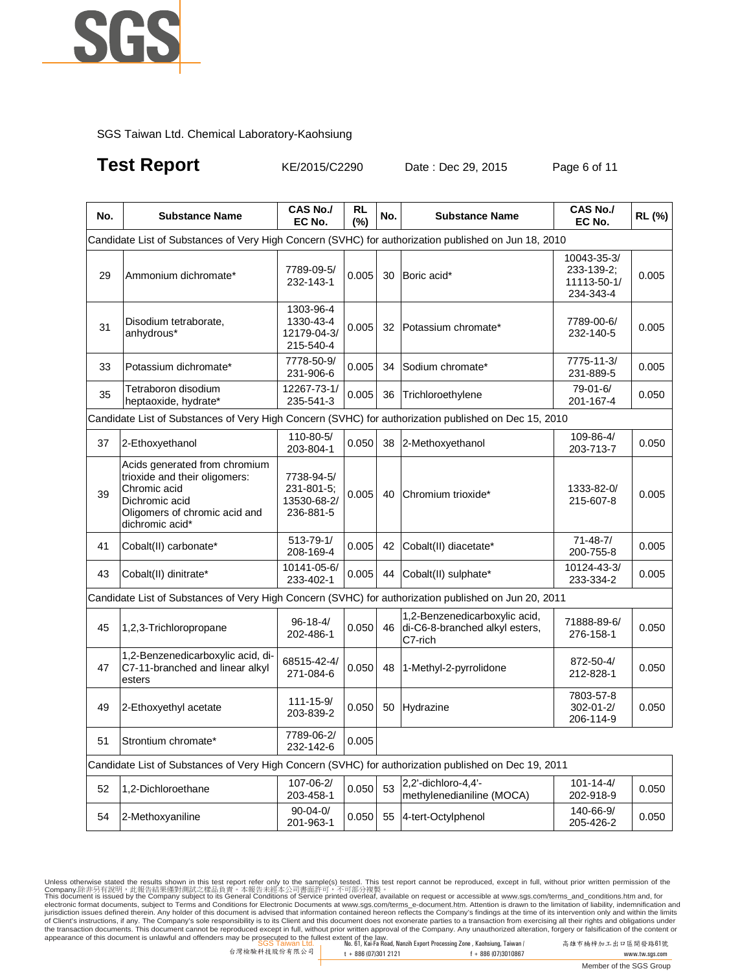

**Test Report KE/2015/C2290** Date : Dec 29, 2015 Page 6 of 11

| No. | <b>Substance Name</b>                                                                                                                                | <b>CAS No./</b><br>EC No.                            | <b>RL</b><br>(%) | No. | <b>Substance Name</b>                                                      | <b>CAS No./</b><br>EC No.                             | RL (%) |
|-----|------------------------------------------------------------------------------------------------------------------------------------------------------|------------------------------------------------------|------------------|-----|----------------------------------------------------------------------------|-------------------------------------------------------|--------|
|     | Candidate List of Substances of Very High Concern (SVHC) for authorization published on Jun 18, 2010                                                 |                                                      |                  |     |                                                                            |                                                       |        |
| 29  | Ammonium dichromate*                                                                                                                                 | 7789-09-5/<br>232-143-1                              | 0.005            | 30  | Boric acid*                                                                | 10043-35-3/<br>233-139-2:<br>11113-50-1/<br>234-343-4 | 0.005  |
| 31  | Disodium tetraborate,<br>anhydrous*                                                                                                                  | 1303-96-4<br>1330-43-4<br>12179-04-3/<br>215-540-4   | 0.005            | 32  | Potassium chromate*                                                        | 7789-00-6/<br>232-140-5                               | 0.005  |
| 33  | Potassium dichromate*                                                                                                                                | 7778-50-9/<br>231-906-6                              | 0.005            | 34  | Sodium chromate*                                                           | 7775-11-3/<br>231-889-5                               | 0.005  |
| 35  | Tetraboron disodium<br>heptaoxide, hydrate*                                                                                                          | 12267-73-1/<br>235-541-3                             | 0.005            | 36  | Trichloroethylene                                                          | 79-01-6/<br>201-167-4                                 | 0.050  |
|     | Candidate List of Substances of Very High Concern (SVHC) for authorization published on Dec 15, 2010                                                 |                                                      |                  |     |                                                                            |                                                       |        |
| 37  | 2-Ethoxyethanol                                                                                                                                      | 110-80-5/<br>203-804-1                               | 0.050            | 38  | 2-Methoxyethanol                                                           | 109-86-4/<br>203-713-7                                | 0.050  |
| 39  | Acids generated from chromium<br>trioxide and their oligomers:<br>Chromic acid<br>Dichromic acid<br>Oligomers of chromic acid and<br>dichromic acid* | 7738-94-5/<br>231-801-5;<br>13530-68-2/<br>236-881-5 | 0.005            | 40  | Chromium trioxide*                                                         | 1333-82-0/<br>215-607-8                               | 0.005  |
| 41  | Cobalt(II) carbonate*                                                                                                                                | 513-79-1/<br>208-169-4                               | 0.005            | 42  | Cobalt(II) diacetate*                                                      | $71 - 48 - 7/$<br>200-755-8                           | 0.005  |
| 43  | Cobalt(II) dinitrate*                                                                                                                                | 10141-05-6/<br>233-402-1                             | 0.005            | 44  | Cobalt(II) sulphate*                                                       | 10124-43-3/<br>233-334-2                              | 0.005  |
|     | Candidate List of Substances of Very High Concern (SVHC) for authorization published on Jun 20, 2011                                                 |                                                      |                  |     |                                                                            |                                                       |        |
| 45  | 1,2,3-Trichloropropane                                                                                                                               | $96 - 18 - 4/$<br>202-486-1                          | 0.050            | 46  | 1,2-Benzenedicarboxylic acid,<br>di-C6-8-branched alkyl esters,<br>C7-rich | 71888-89-6/<br>276-158-1                              | 0.050  |
| 47  | 1,2-Benzenedicarboxylic acid, di-<br>C7-11-branched and linear alkyl<br>esters                                                                       | 68515-42-4/<br>271-084-6                             | 0.050            | 48  | 1-Methyl-2-pyrrolidone                                                     | 872-50-4/<br>212-828-1                                | 0.050  |
| 49  | 2-Ethoxyethyl acetate                                                                                                                                | $111 - 15 - 9/$<br>203-839-2                         | 0.050            | 50  | Hydrazine                                                                  | 7803-57-8<br>302-01-2/<br>206-114-9                   | 0.050  |
| 51  | Strontium chromate*                                                                                                                                  | 7789-06-2/<br>232-142-6                              | 0.005            |     |                                                                            |                                                       |        |
|     | Candidate List of Substances of Very High Concern (SVHC) for authorization published on Dec 19, 2011                                                 |                                                      |                  |     |                                                                            |                                                       |        |
| 52  | 1,2-Dichloroethane                                                                                                                                   | 107-06-2/<br>203-458-1                               | 0.050            | 53  | 2,2'-dichloro-4,4'-<br>methylenedianiline (MOCA)                           | $101 - 14 - 4/$<br>202-918-9                          | 0.050  |
| 54  | 2-Methoxyaniline                                                                                                                                     | $90 - 04 - 0$<br>201-963-1                           | 0.050            | 55  | 4-tert-Octylphenol                                                         | 140-66-9/<br>205-426-2                                | 0.050  |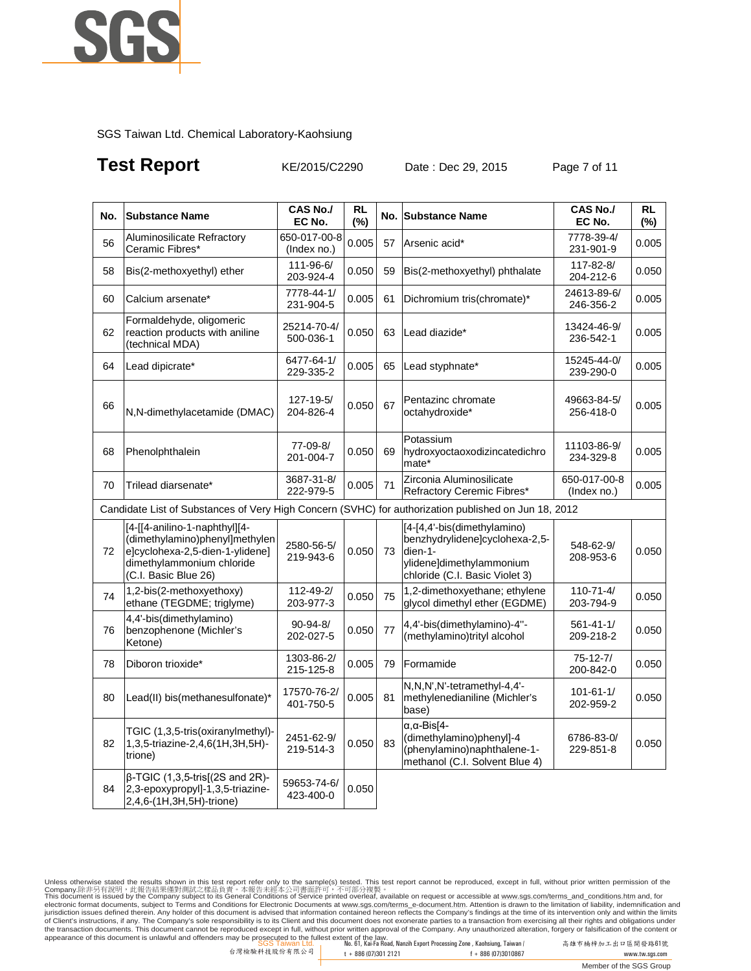

## **Test Report KE/2015/C2290** Date : Dec 29, 2015 Page 7 of 11

| No. | <b>Substance Name</b>                                                                                                                                   | <b>CAS No./</b><br>EC No.   | <b>RL</b><br>$(\% )$ | No. | <b>Substance Name</b>                                                                                                                  | CAS No./<br>EC No.           | <b>RL</b><br>(%) |
|-----|---------------------------------------------------------------------------------------------------------------------------------------------------------|-----------------------------|----------------------|-----|----------------------------------------------------------------------------------------------------------------------------------------|------------------------------|------------------|
| 56  | Aluminosilicate Refractory<br>Ceramic Fibres*                                                                                                           | 650-017-00-8<br>(Index no.) | 0.005                | 57  | Arsenic acid*                                                                                                                          | 7778-39-4/<br>231-901-9      | 0.005            |
| 58  | Bis(2-methoxyethyl) ether                                                                                                                               | 111-96-6/<br>203-924-4      | 0.050                | 59  | Bis(2-methoxyethyl) phthalate                                                                                                          | 117-82-8/<br>204-212-6       | 0.050            |
| 60  | Calcium arsenate*                                                                                                                                       | 7778-44-1/<br>231-904-5     | 0.005                | 61  | Dichromium tris(chromate)*                                                                                                             | 24613-89-6/<br>246-356-2     | 0.005            |
| 62  | Formaldehyde, oligomeric<br>reaction products with aniline<br>(technical MDA)                                                                           | 25214-70-4/<br>500-036-1    | 0.050                | 63  | Lead diazide*                                                                                                                          | 13424-46-9/<br>236-542-1     | 0.005            |
| 64  | Lead dipicrate*                                                                                                                                         | 6477-64-1/<br>229-335-2     | 0.005                | 65  | Lead styphnate*                                                                                                                        | 15245-44-0/<br>239-290-0     | 0.005            |
| 66  | N.N-dimethylacetamide (DMAC)                                                                                                                            | 127-19-5/<br>204-826-4      | 0.050                | 67  | Pentazinc chromate<br>octahydroxide*                                                                                                   | 49663-84-5/<br>256-418-0     | 0.005            |
| 68  | Phenolphthalein                                                                                                                                         | 77-09-8/<br>201-004-7       | 0.050                | 69  | Potassium<br>hydroxyoctaoxodizincatedichro<br>mate*                                                                                    | 11103-86-9/<br>234-329-8     | 0.005            |
| 70  | Trilead diarsenate*                                                                                                                                     | 3687-31-8/<br>222-979-5     | 0.005                | 71  | Zirconia Aluminosilicate<br>Refractory Ceremic Fibres*                                                                                 | 650-017-00-8<br>(Index no.)  | 0.005            |
|     | Candidate List of Substances of Very High Concern (SVHC) for authorization published on Jun 18, 2012                                                    |                             |                      |     |                                                                                                                                        |                              |                  |
| 72  | [4-[[4-anilino-1-naphthyl][4-<br>(dimethylamino)phenyl]methylen<br>e]cyclohexa-2,5-dien-1-ylidene]<br>dimethylammonium chloride<br>(C.I. Basic Blue 26) | 2580-56-5/<br>219-943-6     | 0.050                | 73  | [4-[4,4'-bis(dimethylamino)<br>benzhydrylidene]cyclohexa-2,5-<br>dien-1-<br>ylidene]dimethylammonium<br>chloride (C.I. Basic Violet 3) | 548-62-9/<br>208-953-6       | 0.050            |
| 74  | 1,2-bis(2-methoxyethoxy)<br>ethane (TEGDME; triglyme)                                                                                                   | 112-49-2/<br>203-977-3      | 0.050                | 75  | 1,2-dimethoxyethane; ethylene<br>glycol dimethyl ether (EGDME)                                                                         | $110 - 71 - 4/$<br>203-794-9 | 0.050            |
| 76  | 4.4'-bis(dimethylamino)<br>benzophenone (Michler's<br>Ketone)                                                                                           | $90 - 94 - 8/$<br>202-027-5 | 0.050                | 77  | 4,4'-bis(dimethylamino)-4"-<br>(methylamino)trityl alcohol                                                                             | $561 - 41 - 1/$<br>209-218-2 | 0.050            |
| 78  | Diboron trioxide*                                                                                                                                       | 1303-86-2/<br>215-125-8     | 0.005                | 79  | Formamide                                                                                                                              | $75 - 12 - 7/$<br>200-842-0  | 0.050            |
| 80  | Lead(II) bis(methanesulfonate)*                                                                                                                         | 17570-76-2/<br>401-750-5    | 0.005                | 81  | N,N,N',N'-tetramethyl-4,4'-<br>methylenedianiline (Michler's<br>base)                                                                  | $101 - 61 - 1/$<br>202-959-2 | 0.050            |
| 82  | TGIC (1,3,5-tris(oxiranylmethyl)-<br>1,3,5-triazine-2,4,6(1H,3H,5H)-<br>trione)                                                                         | 2451-62-9/<br>219-514-3     | 0.050                | 83  | $\alpha$ , $\alpha$ -Bis[4-<br>(dimethylamino)phenyl]-4<br>(phenylamino)naphthalene-1-<br>methanol (C.I. Solvent Blue 4)               | 6786-83-0/<br>229-851-8      | 0.050            |
| 84  | $\beta$ -TGIC (1,3,5-tris[(2S and 2R)-<br>2,3-epoxypropyl]-1,3,5-triazine-<br>2,4,6-(1H,3H,5H)-trione)                                                  | 59653-74-6/<br>423-400-0    | 0.050                |     |                                                                                                                                        |                              |                  |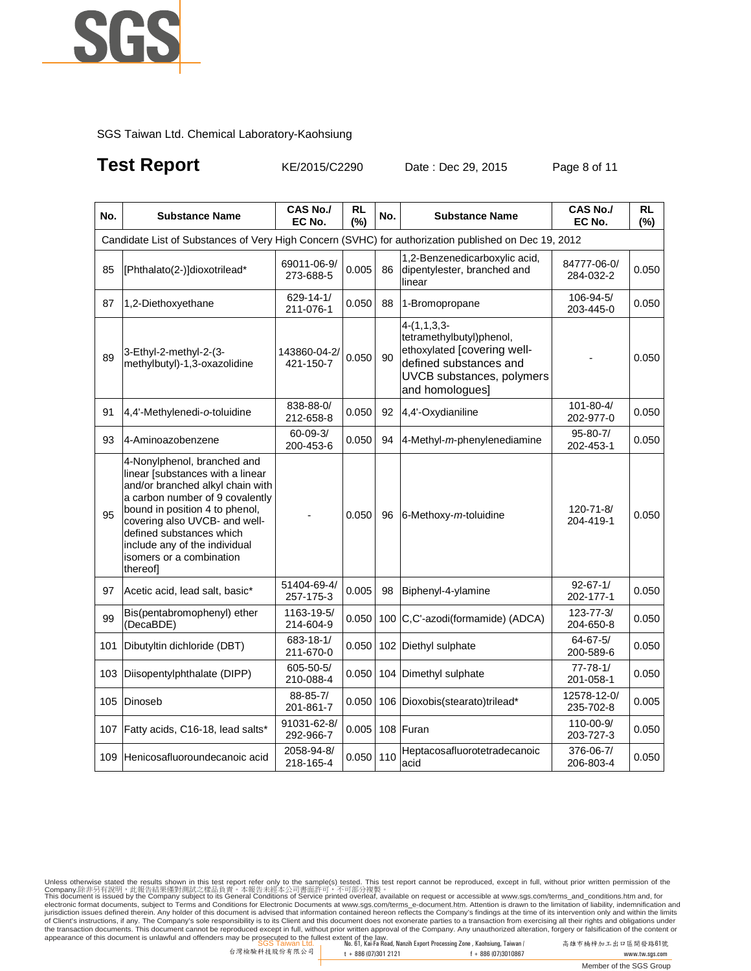

## **Test Report KE/2015/C2290** Date : Dec 29, 2015 Page 8 of 11

| No. | <b>Substance Name</b>                                                                                                                                                                                                                                                                                          | <b>CAS No./</b><br>EC No.   | RL<br>(%) | No. | <b>Substance Name</b>                                                                                                                              | <b>CAS No./</b><br>EC No.    | <b>RL</b><br>(%) |
|-----|----------------------------------------------------------------------------------------------------------------------------------------------------------------------------------------------------------------------------------------------------------------------------------------------------------------|-----------------------------|-----------|-----|----------------------------------------------------------------------------------------------------------------------------------------------------|------------------------------|------------------|
|     | Candidate List of Substances of Very High Concern (SVHC) for authorization published on Dec 19, 2012                                                                                                                                                                                                           |                             |           |     |                                                                                                                                                    |                              |                  |
| 85  | [Phthalato(2-)]dioxotrilead*                                                                                                                                                                                                                                                                                   | 69011-06-9/<br>273-688-5    | 0.005     | 86  | 1,2-Benzenedicarboxylic acid,<br>dipentylester, branched and<br>linear                                                                             | 84777-06-0/<br>284-032-2     | 0.050            |
| 87  | 1,2-Diethoxyethane                                                                                                                                                                                                                                                                                             | 629-14-1/<br>211-076-1      | 0.050     | 88  | 1-Bromopropane                                                                                                                                     | 106-94-5/<br>203-445-0       | 0.050            |
| 89  | 3-Ethyl-2-methyl-2-(3-<br>methylbutyl)-1,3-oxazolidine                                                                                                                                                                                                                                                         | 143860-04-2/<br>421-150-7   | 0.050     | 90  | $4-(1,1,3,3-$<br>tetramethylbutyl)phenol,<br>ethoxylated [covering well-<br>defined substances and<br>UVCB substances, polymers<br>and homologues] |                              | 0.050            |
| 91  | 4,4'-Methylenedi-o-toluidine                                                                                                                                                                                                                                                                                   | 838-88-0/<br>212-658-8      | 0.050     | 92  | 4,4'-Oxydianiline                                                                                                                                  | 101-80-4/<br>202-977-0       | 0.050            |
| 93  | 4-Aminoazobenzene                                                                                                                                                                                                                                                                                              | $60 - 09 - 3/$<br>200-453-6 | 0.050     | 94  | 4-Methyl-m-phenylenediamine                                                                                                                        | $95 - 80 - 7/$<br>202-453-1  | 0.050            |
| 95  | 4-Nonylphenol, branched and<br>linear [substances with a linear<br>and/or branched alkyl chain with<br>a carbon number of 9 covalently<br>bound in position 4 to phenol,<br>covering also UVCB- and well-<br>defined substances which<br>include any of the individual<br>isomers or a combination<br>thereof] |                             | 0.050     | 96  | 6-Methoxy-m-toluidine                                                                                                                              | 120-71-8/<br>204-419-1       | 0.050            |
| 97  | Acetic acid, lead salt, basic*                                                                                                                                                                                                                                                                                 | 51404-69-4/<br>257-175-3    | 0.005     | 98  | Biphenyl-4-ylamine                                                                                                                                 | $92 - 67 - 1/$<br>202-177-1  | 0.050            |
| 99  | Bis(pentabromophenyl) ether<br>(DecaBDE)                                                                                                                                                                                                                                                                       | 1163-19-5/<br>214-604-9     | 0.050     | 100 | C,C'-azodi(formamide) (ADCA)                                                                                                                       | $123 - 77 - 3/$<br>204-650-8 | 0.050            |
| 101 | Dibutyltin dichloride (DBT)                                                                                                                                                                                                                                                                                    | 683-18-1/<br>211-670-0      | 0.050     |     | 102 Diethyl sulphate                                                                                                                               | 64-67-5/<br>200-589-6        | 0.050            |
| 103 | Diisopentylphthalate (DIPP)                                                                                                                                                                                                                                                                                    | 605-50-5/<br>210-088-4      | 0.050     |     | 104 Dimethyl sulphate                                                                                                                              | $77 - 78 - 1/$<br>201-058-1  | 0.050            |
| 105 | Dinoseb                                                                                                                                                                                                                                                                                                        | 88-85-7/<br>201-861-7       | 0.050     | 106 | Dioxobis(stearato)trilead*                                                                                                                         | 12578-12-0/<br>235-702-8     | 0.005            |
| 107 | Fatty acids, C16-18, lead salts*                                                                                                                                                                                                                                                                               | 91031-62-8/<br>292-966-7    | 0.005     |     | 108 Furan                                                                                                                                          | 110-00-9/<br>203-727-3       | 0.050            |
| 109 | Henicosafluoroundecanoic acid                                                                                                                                                                                                                                                                                  | 2058-94-8/<br>218-165-4     | 0.050     | 110 | Heptacosafluorotetradecanoic<br>acid                                                                                                               | 376-06-7/<br>206-803-4       | 0.050            |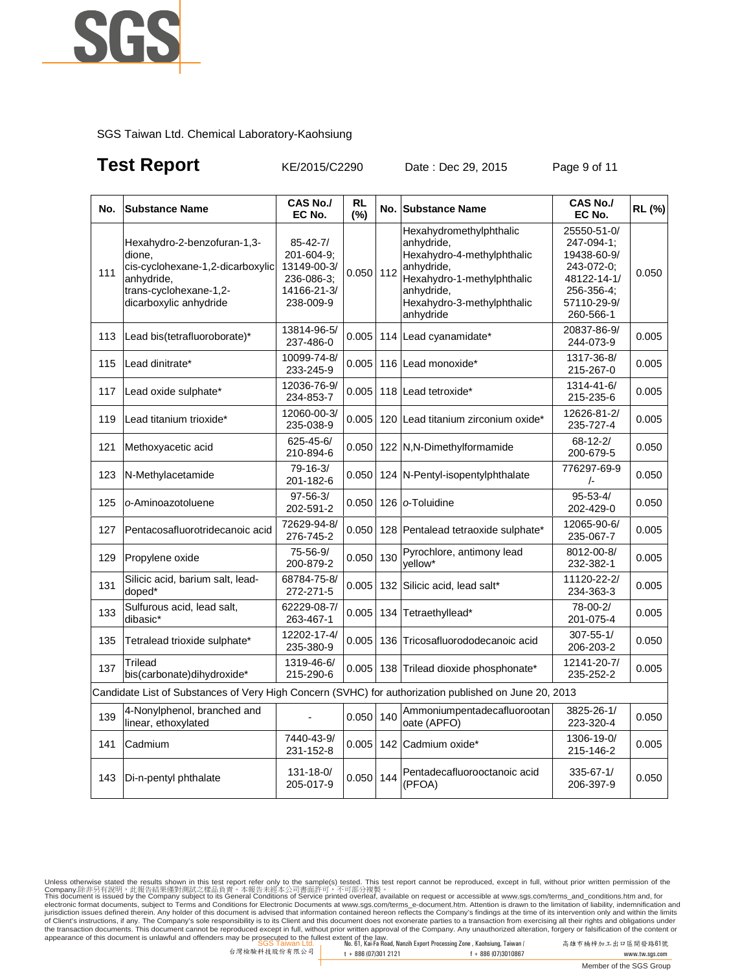

## **Test Report KE/2015/C2290** Date : Dec 29, 2015 Page 9 of 11

| No. | <b>Substance Name</b>                                                                                                                       | <b>CAS No./</b><br>EC No.                                                             | <b>RL</b><br>$(\%)$ |     | No. Substance Name                                                                                                                                                       | <b>CAS No./</b><br>EC No.                                                                                       | RL (%) |
|-----|---------------------------------------------------------------------------------------------------------------------------------------------|---------------------------------------------------------------------------------------|---------------------|-----|--------------------------------------------------------------------------------------------------------------------------------------------------------------------------|-----------------------------------------------------------------------------------------------------------------|--------|
| 111 | Hexahydro-2-benzofuran-1,3-<br>dione,<br>cis-cyclohexane-1,2-dicarboxylic<br>anhydride,<br>trans-cyclohexane-1,2-<br>dicarboxylic anhydride | $85 - 42 - 7/$<br>201-604-9;<br>13149-00-3/<br>236-086-3;<br>14166-21-3/<br>238-009-9 | 0.050               | 112 | Hexahydromethylphthalic<br>anhydride,<br>Hexahydro-4-methylphthalic<br>anhydride,<br>Hexahydro-1-methylphthalic<br>anhydride,<br>Hexahydro-3-methylphthalic<br>anhydride | 25550-51-0/<br>247-094-1:<br>19438-60-9/<br>243-072-0;<br>48122-14-1/<br>256-356-4;<br>57110-29-9/<br>260-566-1 | 0.050  |
| 113 | Lead bis(tetrafluoroborate)*                                                                                                                | 13814-96-5/<br>237-486-0                                                              | 0.005               |     | 114 Lead cyanamidate*                                                                                                                                                    | 20837-86-9/<br>244-073-9                                                                                        | 0.005  |
| 115 | Lead dinitrate*                                                                                                                             | 10099-74-8/<br>233-245-9                                                              | 0.005               |     | 116 Lead monoxide*                                                                                                                                                       | 1317-36-8/<br>215-267-0                                                                                         | 0.005  |
| 117 | Lead oxide sulphate*                                                                                                                        | 12036-76-9/<br>234-853-7                                                              | 0.005               |     | 118 Lead tetroxide*                                                                                                                                                      | 1314-41-6/<br>215-235-6                                                                                         | 0.005  |
| 119 | Lead titanium trioxide*                                                                                                                     | 12060-00-3/<br>235-038-9                                                              | 0.005               |     | 120 Lead titanium zirconium oxide*                                                                                                                                       | 12626-81-2/<br>235-727-4                                                                                        | 0.005  |
| 121 | Methoxyacetic acid                                                                                                                          | 625-45-6/<br>210-894-6                                                                | 0.050               |     | 122 N,N-Dimethylformamide                                                                                                                                                | 68-12-2/<br>200-679-5                                                                                           | 0.050  |
| 123 | N-Methylacetamide                                                                                                                           | $79 - 16 - 3/$<br>201-182-6                                                           | 0.050               |     | 124 N-Pentyl-isopentylphthalate                                                                                                                                          | 776297-69-9<br>$\sqrt{-}$                                                                                       | 0.050  |
| 125 | o-Aminoazotoluene                                                                                                                           | $97 - 56 - 3/$<br>202-591-2                                                           | 0.050               |     | 126   o-Toluidine                                                                                                                                                        | $95 - 53 - 4/$<br>202-429-0                                                                                     | 0.050  |
| 127 | Pentacosafluorotridecanoic acid                                                                                                             | 72629-94-8/<br>276-745-2                                                              | 0.050               |     | 128 Pentalead tetraoxide sulphate*                                                                                                                                       | 12065-90-6/<br>235-067-7                                                                                        | 0.005  |
| 129 | Propylene oxide                                                                                                                             | 75-56-9/<br>200-879-2                                                                 | 0.050               | 130 | Pyrochlore, antimony lead<br>vellow*                                                                                                                                     | 8012-00-8/<br>232-382-1                                                                                         | 0.005  |
| 131 | Silicic acid, barium salt, lead-<br>doped*                                                                                                  | 68784-75-8/<br>272-271-5                                                              | 0.005               |     | 132 Silicic acid, lead salt*                                                                                                                                             | 11120-22-2/<br>234-363-3                                                                                        | 0.005  |
| 133 | Sulfurous acid, lead salt,<br>dibasic*                                                                                                      | 62229-08-7/<br>263-467-1                                                              | 0.005               | 134 | Tetraethyllead*                                                                                                                                                          | 78-00-2/<br>201-075-4                                                                                           | 0.005  |
| 135 | Tetralead trioxide sulphate*                                                                                                                | 12202-17-4/<br>235-380-9                                                              | 0.005               | 136 | Tricosafluorododecanoic acid                                                                                                                                             | $307 - 55 - 1/$<br>206-203-2                                                                                    | 0.050  |
| 137 | Trilead<br>bis(carbonate)dihydroxide*                                                                                                       | 1319-46-6/<br>215-290-6                                                               | 0.005               |     | 138 Trilead dioxide phosphonate*                                                                                                                                         | 12141-20-7/<br>235-252-2                                                                                        | 0.005  |
|     | Candidate List of Substances of Very High Concern (SVHC) for authorization published on June 20, 2013                                       |                                                                                       |                     |     |                                                                                                                                                                          |                                                                                                                 |        |
| 139 | 4-Nonylphenol, branched and<br>linear, ethoxylated                                                                                          |                                                                                       | 0.050               | 140 | Ammoniumpentadecafluorootan<br>oate (APFO)                                                                                                                               | 3825-26-1/<br>223-320-4                                                                                         | 0.050  |
| 141 | Cadmium                                                                                                                                     | 7440-43-9/<br>231-152-8                                                               | 0.005               |     | 142 Cadmium oxide*                                                                                                                                                       | 1306-19-0/<br>215-146-2                                                                                         | 0.005  |
| 143 | Di-n-pentyl phthalate                                                                                                                       | $131 - 18 - 0/$<br>205-017-9                                                          | 0.050               | 144 | Pentadecafluorooctanoic acid<br>(PFOA)                                                                                                                                   | $335 - 67 - 1/$<br>206-397-9                                                                                    | 0.050  |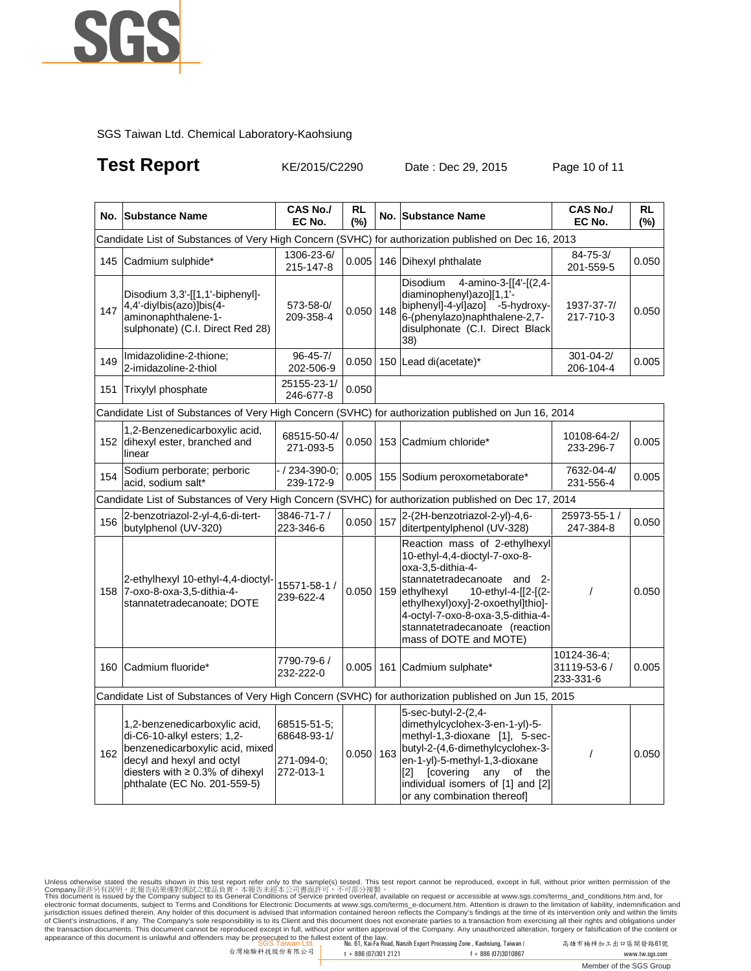

## **Test Report** KE/2015/C2290 Date : Dec 29, 2015 Page 10 of 11

|     | No. Substance Name                                                                                                                                                                                    | <b>CAS No./</b><br>EC No.                             | <b>RL</b><br>(%) |     | No. Substance Name                                                                                                                                                                                                                                                                            | <b>CAS No./</b><br>EC No.                | RL<br>(%) |  |  |
|-----|-------------------------------------------------------------------------------------------------------------------------------------------------------------------------------------------------------|-------------------------------------------------------|------------------|-----|-----------------------------------------------------------------------------------------------------------------------------------------------------------------------------------------------------------------------------------------------------------------------------------------------|------------------------------------------|-----------|--|--|
|     | Candidate List of Substances of Very High Concern (SVHC) for authorization published on Dec 16, 2013                                                                                                  |                                                       |                  |     |                                                                                                                                                                                                                                                                                               |                                          |           |  |  |
| 145 | Cadmium sulphide*                                                                                                                                                                                     | 1306-23-6/<br>215-147-8                               | 0.005            |     | 146 Dihexyl phthalate                                                                                                                                                                                                                                                                         | $84 - 75 - 3/$<br>201-559-5              | 0.050     |  |  |
| 147 | Disodium 3,3'-[[1,1'-biphenyl]-<br>4,4'-diylbis(azo)]bis(4-<br>aminonaphthalene-1-<br>sulphonate) (C.I. Direct Red 28)                                                                                | 573-58-0/<br>209-358-4                                | 0.050            | 148 | Disodium<br>4-amino-3-[[4'-[(2,4-<br>diaminophenyl)azo][1,1-<br>biphenyl]-4-yl]azo] -5-hydroxy-<br>6-(phenylazo)naphthalene-2,7-<br>disulphonate (C.I. Direct Black<br>38)                                                                                                                    | 1937-37-7/<br>217-710-3                  | 0.050     |  |  |
| 149 | Imidazolidine-2-thione;<br>2-imidazoline-2-thiol                                                                                                                                                      | $96 - 45 - 7/$<br>202-506-9                           |                  |     | $0.050$ 150 Lead di(acetate)*                                                                                                                                                                                                                                                                 | $301 - 04 - 2/$<br>206-104-4             | 0.005     |  |  |
| 151 | Trixylyl phosphate                                                                                                                                                                                    | 25155-23-1/<br>246-677-8                              | 0.050            |     |                                                                                                                                                                                                                                                                                               |                                          |           |  |  |
|     | Candidate List of Substances of Very High Concern (SVHC) for authorization published on Jun 16, 2014                                                                                                  |                                                       |                  |     |                                                                                                                                                                                                                                                                                               |                                          |           |  |  |
|     | 1,2-Benzenedicarboxylic acid,<br>152 dihexyl ester, branched and<br>linear                                                                                                                            | 68515-50-4/<br>271-093-5                              | 0.050            |     | 153 Cadmium chloride*                                                                                                                                                                                                                                                                         | 10108-64-2/<br>233-296-7                 | 0.005     |  |  |
| 154 | Sodium perborate; perboric<br>acid, sodium salt*                                                                                                                                                      | / 234-390-0;<br>239-172-9                             | 0.005            |     | 155 Sodium peroxometaborate*                                                                                                                                                                                                                                                                  | 7632-04-4/<br>231-556-4                  | 0.005     |  |  |
|     | Candidate List of Substances of Very High Concern (SVHC) for authorization published on Dec 17, 2014                                                                                                  |                                                       |                  |     |                                                                                                                                                                                                                                                                                               |                                          |           |  |  |
| 156 | 2-benzotriazol-2-yl-4,6-di-tert-<br>butylphenol (UV-320)                                                                                                                                              | 3846-71-7 /<br>223-346-6                              | 0.050            | 157 | 2-(2H-benzotriazol-2-yl)-4,6-<br>ditertpentylphenol (UV-328)                                                                                                                                                                                                                                  | 25973-55-1 /<br>247-384-8                | 0.050     |  |  |
|     | 2-ethylhexyl 10-ethyl-4,4-dioctyl<br>158 7-oxo-8-oxa-3,5-dithia-4-<br>stannatetradecanoate; DOTE                                                                                                      | 15571-58-1 /<br>239-622-4                             | 0.050            | 159 | Reaction mass of 2-ethylhexyl<br>10-ethyl-4,4-dioctyl-7-oxo-8-<br>oxa-3,5-dithia-4-<br>stannatetradecanoate and 2-<br>ethylhexyl<br>10-ethyl-4-[[2-[(2-<br>ethylhexyl)oxy]-2-oxoethyl]thio]-<br>4-octyl-7-oxo-8-oxa-3,5-dithia-4-<br>stannatetradecanoate (reaction<br>mass of DOTE and MOTE) | $\prime$                                 | 0.050     |  |  |
| 160 | Cadmium fluoride*                                                                                                                                                                                     | 7790-79-6/<br>232-222-0                               |                  |     | 0.005 161 Cadmium sulphate*                                                                                                                                                                                                                                                                   | 10124-36-4;<br>31119-53-6 /<br>233-331-6 | 0.005     |  |  |
|     | Candidate List of Substances of Very High Concern (SVHC) for authorization published on Jun 15, 2015                                                                                                  |                                                       |                  |     |                                                                                                                                                                                                                                                                                               |                                          |           |  |  |
| 162 | 1,2-benzenedicarboxylic acid,<br>di-C6-10-alkyl esters; 1,2-<br>benzenedicarboxylic acid, mixed<br>decyl and hexyl and octyl<br>diesters with $\geq 0.3\%$ of dihexyl<br>phthalate (EC No. 201-559-5) | 68515-51-5;<br>68648-93-1/<br>271-094-0;<br>272-013-1 | 0.050            | 163 | 5-sec-butyl-2-(2,4-<br>dimethylcyclohex-3-en-1-yl)-5-<br>methyl-1,3-dioxane [1], 5-sec-<br>butyl-2-(4,6-dimethylcyclohex-3-<br>en-1-yl)-5-methyl-1,3-dioxane<br>[2] [covering<br>any<br>of<br>the<br>individual isomers of [1] and [2]<br>or any combination thereof]                         | $\prime$                                 | 0.050     |  |  |

Unless otherwise stated the results shown in this test report refer only to the sample(s) test feport cannot be reproduced, except in full, without prior written permission of the<br>Company.陈非另有說明 · 此報告結果僅對測試之樣品負責。本報告未經本公司書 of Client's instructions, if any. The Company's sole responsibility is to its Client and this document does not exonerate parties to a transaction from exercising all their rights and obligations under<br>the transaction docu